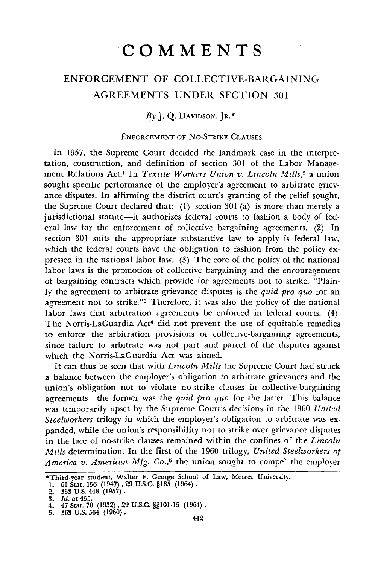## ENFORCEMENT OF COLLECTIVE-BARGAINING AGREEMENTS UNDER SECTION 301

*By* J. Q. DAVIDSON, JR.\*

## ENFORCEMENT OF No-STRIKE CLAUSES

In 1957, the Supreme Court decided the landmark case in the interpretation, construction, and definition of section 301 of the Labor Manage. ment Relations Act.1 In *Textile Workers Union v. Lincoln Mills,2* a union sought specific performance of the employer's agreement to arbitrate grievance disputes. In affirming the district court's granting of the relief sought, the Supreme Court declared that: (1) section 301 (a) is more than merely a jurisdictional statute--it authorizes federal courts to fashion a body of federal law for the enforcement of collective bargaining agreements. (2) In section 301 suits the appropriate substantive law to apply is federal law, which the federal courts have the obligation to fashion from the policy expressed in the national labor law. (3) The core of the policy of the national labor laws is the promotion of collective bargaining and the encouragement of bargaining contracts which provide for agreements not to strike. "Plainly the agreement to arbitrate grievance disputes is the *quid pro quo* for an agreement not to strike."<sup>3</sup> Therefore, it was also the policy of the national labor laws that arbitration agreements be enforced in federal courts. (4) The Norris-LaGuardia Act<sup>4</sup> did not prevent the use of equitable remedies to enforce the arbitration provisions of collective-bargaining agreements, since failure to arbitrate was not part and parcel of the disputes against which the Norris-LaGuardia Act was aimed.

It can thus be seen that with *Lincoln Mills* the Supreme Court had struck a balance between the employer's obligation to arbitrate grievances and the union's obligation not to violate no-strike clauses in collective-bargaining agreements-the former was the *quid pro quo* for the latter. This balance was temporarily upset by the Supreme Court's decisions in the 1960 *United Steelworkers* trilogy in which the employer's obligation to arbitrate was expanded, while the union's responsibility not to strike over grievance disputes in the face of no-strike clauses remained within the confines of the *Lincoln Mills* determination. In the first of the 1960 trilogy, *United Steelworkers of America v. American Mfg. Co.,5* the union sought to compel the employer

<sup>\*</sup>Third-year student, Walter F. George School of Law, Mercer University. **1.** 61 Stat. 156 (1947), 29 U.S.C. **§185** (1964).

<sup>2. 353</sup> U.S. 448 **(1957).**

**<sup>3.</sup>** *Id.* at **455.**

**<sup>4,</sup>** 47 Stat. 70 (1932) , **29 U.S.C. §§101-15** (1964).

<sup>5. 363</sup> U.S. 564 (1960).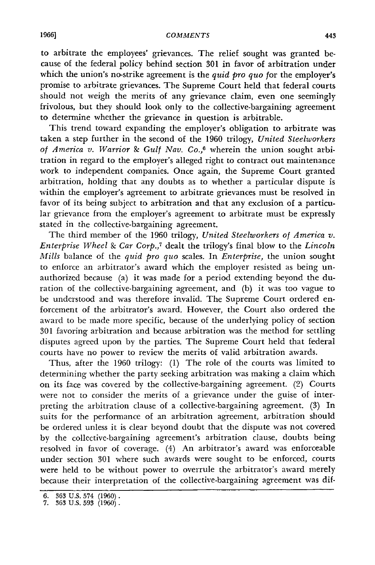to arbitrate the employees' grievances. The relief sought was granted because of the federal policy behind section 301 in favor of arbitration under which the union's no-strike agreement is the *quid pro quo* for the employer's promise to arbitrate grievances. The Supreme Court held that federal courts should not weigh the merits of any grievance claim, even one seemingly frivolous, but they should look only to the collective-bargaining agreement to determine whether the grievance in question is arbitrable.

This trend toward expanding the employer's obligation to arbitrate was taken a step further in the second of the 1960 trilogy, *United Steelworkers of America v. Warrior S Gulf Nav. Co.,6* wherein the union sought arbitration in regard to the employer's alleged right to contract out maintenance work to independent companies. Once again, the Supreme Court granted arbitration, holding that any doubts as to whether a particular dispute is within the employer's agreement to arbitrate grievances must be resolved in favor of its being subject to arbitration and that any exclusion of a particular grievance from the employer's agreement to arbitrate must be expressly stated in the collective-bargaining agreement.

The third member of the 1960 trilogy, *United Steelworkers of America v. Enterprise Wheel & Car Corp.,7* dealt the trilogy's final blow to the *Lincoln Mills* balance of the *quid pro quo* scales. In *Enterprise,* the union sought to enforce an arbitrator's award which the employer resisted as being unauthorized because (a) it was made for a period extending beyond the duration of the collective-bargaining agreement, and (b) it was too vague to be understood and was therefore invalid. The Supreme Court ordered enforcement of the arbitrator's award. However, the Court also ordered the award to be made more specific, because of the underlying policy of section 301 favoring arbitration and because arbitration was the method for settling disputes agreed upon by the parties. The Supreme Court held that federal courts have no power to review the merits of valid arbitration awards.

Thus, after the 1960 trilogy: (1) The role of the courts was limited to determining whether the party seeking arbitration was making a claim which on its face was covered by the collective-bargaining agreement. (2) Courts were not to consider the merits of a grievance under the guise of interpreting the arbitration clause of a collective-bargaining agreement. (3) In suits for the performance of an arbitration agreement, arbitration should be ordered unless it is clear beyond doubt that the dispute was not covered by the collective-bargaining agreement's arbitration clause, doubts being resolved in favor of coverage. (4) An arbitrator's award was enforceable under section 301 where such awards were sought to be enforced, courts were held to be without power to overrule the arbitrator's award merely because their interpretation of the collective-bargaining agreement was dif-

<sup>6. 363</sup> U.S. 574 (1960). **7. 363** U.S. 593 (1960).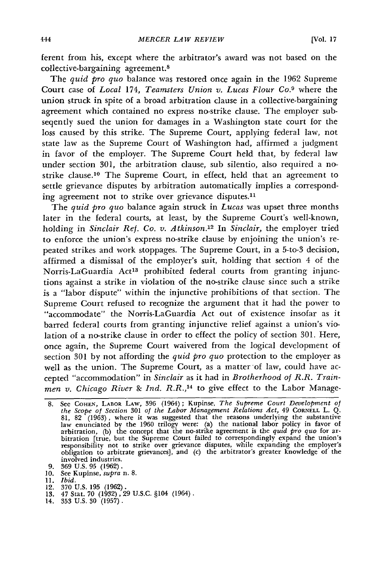ferent from his, except where the arbitrator's award was not based on the collective-bargaining agreement.8

The *quid pro quo* balance was restored once again in the 1962 Supreme Court case of *Local 174, Teamsters Union v. Lucas Flour Co.<sup>9</sup> where the* union struck in spite of a broad arbitration clause in a collective-bargaining agreement which contained no express no-strike clause. The employer subseqently sued the union for damages in a Washington state court for the loss caused by this strike. The Supreme Court, applying federal law, not state law as the Supreme Court of Washington had, affirmed a judgment in favor of the employer. The Supreme Court held that, by federal law under section 301, the arbitration clause, sub silentio, also required a nostrike clause.<sup>10</sup> The Supreme Court, in effect, held that an agreement to settle grievance disputes by arbitration automatically implies a corresponding agreement not to strike over grievance disputes.<sup>11</sup>

The *quid pro quo* balance again struck in *Lucas* was upset three months later in the federal courts, at least, by the Supreme Court's well-known, holding in *Sinclair Ref. Co. v. Atkinson*.<sup>12</sup> In *Sinclair*, the employer tried to enforce the union's express no-strike clause by enjoining the union's repeated strikes and work stoppages. The Supreme Court, in a 5-to-3 decision, affirmed a dismissal of the employer's suit, holding that section 4 of the Norris-La'Guardia Act<sup>13</sup> prohibited federal courts from granting injunctions against a strike in violation of the no-strike clause since such a strike is a "labor dispute" within the injunctive prohibitions of that section. The Supreme Court refused to recognize the argument that it had the power to "accommodate" the Norris-LaGuardia Act out of existence insofar as it barred federal courts from granting injunctive relief against a union's violation of a no-strike clause in order to effect the policy of section 301. Here, once again, the Supreme Court waivered from the logical development of section 301 by not affording the *quid pro quo* protection to the employer as well as the union. The Supreme Court, as a matter of law, could have accepted "accommodation" in *Sinclair* as it had in *Brotherhood of R.R. Trainmen v. Chicago River &* Ind. *R.R., <sup>14</sup>*to give effect to the Labor Manage-

- 9. 369 U.S. 95 (1962). 10. See Kupinse, *supra* n. 8.
- **11. Ibid.**
- 
- 12. 370 U.S. 195 (1962).<br>13. 47 Stat. 70 (1932), 29 U.S.C. §104 (1964)<br>14. 353 U.S. 30 (1957).
- 

<sup>8.</sup> See COHEN, LABOR LAW, 396 (1964); Kupinse, *The Supreme Court Development of the Scope of Section* 301 *of the Labor Management Relations Act,* 49 CORNELL L. Q. 81, 82 (1963), where it was suggested that the reasons underlying the substantive<br>law enunciated by the 1960 trilogy were: (a) the national labor policy in favor of<br>arbitration, (b) the concept that the no-strike agreemen bitration [true, but the Supreme Court failed to correspondingly expand the union's responsibility not to strike over grievance disputes, while expanding the employer's<br>obligation to arbitrate grievances], and (c) the arbitrator's greater knowledge of the involved industries.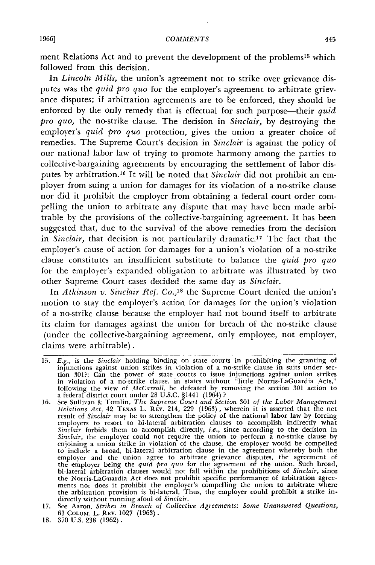ment Relations Act and to prevent the development of the problems<sup>15</sup> which followed from this decision.

In *Lincoln Mills,* the union's agreement not to strike over grievance disputes was the *quid pro quo* for the employer's agreement to arbitrate grievance disputes; if arbitration agreements are to be enforced, they should be enforced by the only remedy that is effectual for such purpose—their *quid pro quo,* the no-strike clause. The decision in *Sinclair,* by destroying the employer's *quid pro quo* protection, gives the union a greater choice of remedies. The Supreme Court's decision in *Sinclair* is against the policy of our national labor law of trying to promote harmony among the parties to collective-bargaining agreements by encouraging the settlement of labor disputes by arbitration.<sup>16</sup> It will be noted that *Sinclair* did not prohibit an employer from suing a union for damages for its violation of a no-strike clause nor did it prohibit the employer from obtaining a federal court order compelling the union to arbitrate any dispute that may have been made arbitrable by the provisions of the collective-bargaining agreement. It has been suggested that, due to the survival of the above remedies from the decision in *Sinclair*, that decision is not particularily dramatic.<sup>17</sup> The fact that the employer's cause of action for damages for a union's violation of a no-strike clause constitutes an insufficient substitute to balance the *quid pro quo* for the employer's expanded obligation to arbitrate was illustrated by two other Supreme Court cases decided the same day as *Sinclair.*

In *Atkinson v. Sinclair Ref. Co.,18* the Supreme Court denied the union's motion to stay the employer's action for damages for the union's violation of a no-strike clause because the employer had not bound itself to arbitrate its claim for damages against the union for breach of the no-strike clause (under the collective-bargaining agreement, only employee, not employer, claims were arbitrable).

18. 370 U.S. 238 (1962).

<sup>15.</sup> *E.g.,* is the *Sinclair* holding binding on state courts in prohibiting the granting of injunctions against union strikes in violation of a no-strike clause in suits under sec-<br>tion 301?; Can the power of state courts to issue injunctions against union strikes<br>in violation of a no-strike clause, in states wit following the view of McCarroll, be defeated by removing the section 301 action to a federal district court tinder 28 U.S.C. §1441 (1964) **?**

<sup>16.</sup> See Sullivan & Tomlin, The Supreme Court and Section 301 of the Labor Management<br>Relations Act, 42 TEXAS L. REV. 214, 229 (1963), wherein it is asserted that the net<br>result of Sinclair may be to strengthen the policy *Sinclair,* the employer could not require the union to perform a no-strike clause by enjoining a union strike in violation of the clause, the employer would be compelled to include a broad, bi-lateral arbitration clause in the agreement whereby both the employer and the union agree to arbitrate grievance disputes, the agreement of the employer being the quid pro quo for the agreement of th bi-lateral arbitration clauses would not fall within the prohibitions of *Sinclair*, since<br>the Norris-LaGuardia Act does not prohibit specific performance of arbitration agree-<br>ments nor does it prohibit the employer's com

<sup>17.</sup> See Aaron, *Strikes in Breach of Collective Agreements: Some Unanswered Questions,* 17. See Aaron, *Strikes in Breach of Collective Agreements: Some Unanswered Questions, 63 COLUM. L. REV. 1027 (1963).*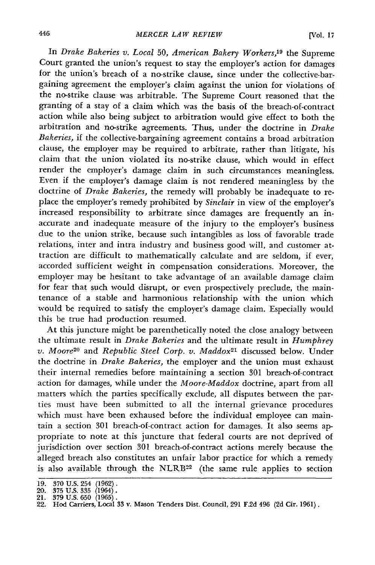In *Drake Bakeries v. Local 50, American Bakery Workers,19* the Supreme Court granted the union's request to stay the employer's action for damages for the union's breach of a no-strike clause, since under the collective-bargaining agreement the employer's claim against the union for violations of the no-strike clause was arbitrable. The Supreme Court reasoned that the granting of a stay of a claim which was the basis of the breach-of-contract action while also being subject to arbitration would give effect to both the arbitration and no-strike agreements. Thus, under the doctrine in *Drake Bakeries,* if the collective-bargaining agreement contains a broad arbitration clause, the employer may be required to arbitrate, rather than litigate, his claim that the union violated its no-strike clause, which would in effect render the employer's damage claim in such circumstances meaningless. Even if the employer's damage claim is not rendered meaningless by the doctrine of *Drake Bakeries,* the remedy will probably be inadequate to replace the employer's remedy prohibited by *Sinclair* in view of the employer's increased responsibility to arbitrate since damages are frequently an inaccurate and inadequate measure of the injury to the employer's business due to the union strike, because such intangibles as loss of favorable trade relations, inter and intra industry and business good will, and customer attraction are difficult to mathematically calculate and are seldom, if ever, accorded sufficient weight in compensation considerations. Moreover, the employer may be hesitant to take advantage of an available damage claim for fear that such would disrupt, or even prospectively preclude, the maintenance of a stable and harmonious relationship with the union which would be required to satisfy the employer's damage claim. Especially would this be true had production resumed.

At this juncture might be parenthetically noted the close analogy between the ultimate result in *Drake Bakeries* and the ultimate result in *Humphrey v. Moore<sup>20</sup>* and *Republic Steel Corp. v. Maddox*<sup>21</sup> discussed below. Under the doctrine in *Drake Bakeries,* the employer and the union must exhaust their internal remedies before maintaining a section **301** breach-of-contract action for damages, while under the *Moore-Maddox* doctrine, apart from all matters which the parties specifically exclude, all disputes between the parties must have been submitted to all the internal grievance procedures which must have been exhaused before the individual employee can maintain a section **301** breach-of-contract action for damages. It also seems appropriate to note at this juncture that federal courts are not deprived of jurisdiction over section **301** breach-of-contract actions merely because the alleged breach also constitutes an unfair labor practice for which a remedy is also available through the NLRB<sup>22</sup> (the same rule applies to section

<sup>19. 370</sup> U.S. 254 (1962).<br>20. 375 U.S. 335 (1964).

<sup>21. 379</sup> U.S. 650 (1965). 22. Hod Carriers, Local **33** v. Mason Tenders Dist. Council, **291 F.2d** 496 **(2d Cir.** 1961).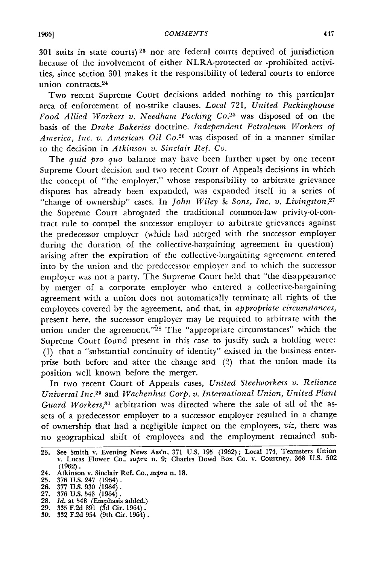301 suits in state courts) **23** nor are federal courts deprived of jurisdiction because of the involvement of either NLRA-protected or -prohibited activities, since section 301 makes it the responsibility of federal courts to enforce union contracts.<sup>24</sup>

Two recent Supreme Court decisions added nothing to this particular area of enforcement of no-strike clauses. *Local* 721, *United Packinghouse Food Allied Workers v. Needham Packing Co.25* was disposed of on the basis of the *Drake Bakeries* doctrine. *Independent Petroleum Workers of America, Inc. v. American Oil Co.*<sup>26</sup> was disposed of in a manner similar to the decision in *Atkinson v. Sinclair Ref. Co.*

The *quid pro quo* balance may have been further upset by one recent Supreme Court decision and two recent Court of Appeals decisions in which the concept of "the employer," whose responsibility to arbitrate grievance disputes has already been expanded, was expanded itself in a series of "change of ownership" cases. In *John Wiley & Sons, Inc. v. Livingston*,<sup>27</sup> the Supreme Court abrogated the traditional common-law privity-of-contract rule to compel the successor employer to arbitrate grievances against the predecessor employer (which had merged with the successor employer during the duration of the collective-bargaining agreement in question) arising after the expiration of the collective-bargaining agreement entered into by the union and the predecessor employer and to which the successor employer was not a party. The Supreme Court held that "the disappearance by merger of a corporate employer who entered a collective-bargaining agreement with a union does not automatically terminate all rights of the employees covered by the agreement, and that, in *appropriate circumstances,* present here, the successor employer may be required to arbitrate with the union under the agreement."<sup>28</sup> The "appropriate circumstances" which the Supreme Court found present in this case to justify such a holding were: (1) that a "substantial continuity of identity" existed in the business enterprise both before and after the change and (2) that the union made its position well known before the merger.

In two recent Court of Appeals cases, *United Steelworkers v. Reliance Universal Inc. <sup>29</sup>*and *Wachenhut Corp. v. International Union, United Plant Guard Workers,30* arbitration was directed where the sale of all of the assets of a predecessor employer to a successor employer resulted in a change of ownership that had a negligible impact on the employees, *viz,* there was no geographical shift of employees and the employment remained sub-

- 
- **25. 376 U.S.** 247 (1964). **26. 377 U.S. 930** (1964). **27. 376 U.S. 543** (1964). **28.** *Id.* at 548 (Emphasis added.) **29. 335 F.2d 891 (3d** Cir. 1964).
- 
- **30. 332 F.2d** 954 (9th Cir. 1964).

<sup>23.</sup> See Smith v. Evening News Ass'n, **371 U.S. 195 (1962);** Local 174, Teamsters Union v. Lucas Flower Co., *supra* n. **9;** Charles Dowd Box Co. v. Courtney, **368 U.S. 502 (1962).**

<sup>24.</sup> Atkinson v. Sinclair Ref. Co., *supra* n. **18.**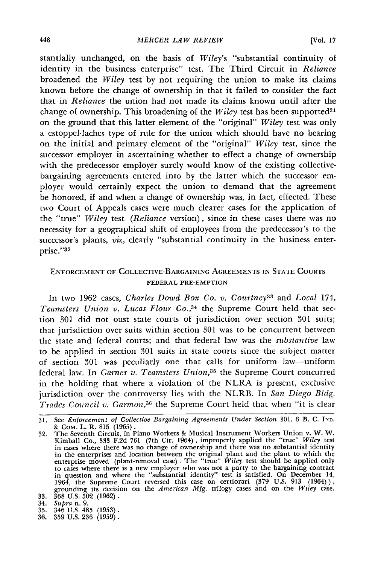stantially unchanged, on the basis of *Wiley's* "substantial continuity of identity in the business enterprise" test. The Third Circuit in *Reliance* broadened the *Wiley* test by not requiring the union to make its claims known before the change of ownership in that it failed to consider the fact that in *Reliance* the union had not made its claims known until after the change of ownership. This broadening of the *Wiley* test has been supported<sup>31</sup> on the ground that this latter element of the "original" *Wiley* test was only a estoppel-laches type of rule for the union which should have no bearing on the initial and primary element of the "original" *Wiley* test, since the successor employer in ascertaining whether to effect a change of ownership with the predecessor employer surely would know of the existing collectivebargaining agreements entered into by the latter which the successor employer would certainly expect the union to demand that the agreement be honored, if and when a change of ownership was, in fact, effected. These two Court of Appeals cases were much clearer cases for the application of the "true" *Wiley* test *(Reliance* version), since in these cases there was no necessity for a geographical shift of employees from the predecessor's to the successor's plants, *viz*, *clearly* "substantial continuity in the business enterprise."32

## ENFORCEMENT OF COLLECTIVE-BARGAINING AGREEIENTS IN **STATE** COURTS FEDERAL PRE-EMPTION

In two 1962 cases, *Charles Dowd Box Co. v. Courtney3 <sup>3</sup>*and *Local* 174, *Teamsters Union v. Lucas Flour Co.,34* the Supreme Court held that section 301 did not oust state courts of jurisdiction over section 301 suits; that jurisdiction over suits within section 301 was to be concurrent between the state and federal courts; and that federal law was the *substantive* law to be applied in section 301 suits in state courts since the subject matter of section 301 was peculiarly one that calls for uniform law-uniform federal law. In *Garner v. Teamsters Union,35* the Supreme Court concurred in the holding that where a violation of the NLRA is present, exclusive jurisdiction over the controversy lies with the NLRB. In *San Diego Bldg. Trades Council v. Garmon,36* the Supreme Court held that when "it is clear

- 
- **35.** 346 U.S. 485 **(1953). 36. 359** U.S. **236** (1959).

**<sup>31.</sup>** See *Enforcement of Collective Bargaining Agreements Under Section 301,* 6 B. C. **IND.**

<sup>&</sup>amp; Com. L. R. 815 (1965).<br>
32. The Seventh Circuit, in Piano Workers & Musical Instrument Workers Union v. W. W.<br>
Kimball Co., 333 F.2d 761 (7th Cir. 1964), improperly applied the "true" Wiley test<br>
in cases where there was in the enterprises and location between the original plant and the plant to which the enterprise moved (plant-removal case). The "true" *Wiley* test should be applied only to cases where there is a new employer who was not a party to the bargaining contract<br>in question and where the "substantial identity" test is satisfied. On December 14<br>1964, the Supreme Court reversed this case on certior

<sup>34.</sup> *Supra* n. 9.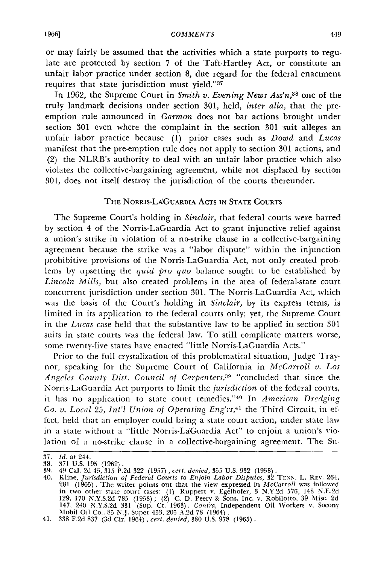or may fairly be assumed that the activities which a state purports to regulate are protected by section 7 of the Taft-Hartley Act, or constitute an unfair labor practice under section 8, due regard for the federal enactment requires that state jurisdiction must yield."<sup>37</sup>

In 1962, the Supreme Court in *Smith v. Evening News Ass'n, 3s* one of the truly landmark decisions under section 301, held, *inter alia,* that the preemption rule announced in *Garmon* does not bar actions brought under section 301 even where the complaint in the section 301 suit alleges an unfair labor practice because (1) prior cases such as *Dowd* and *Lucas* manifest that the pre-emption rule does not apply to section 301 actions, and (2) the NLRB's authority to deal with an unfair labor practice which also violates the collective-bargaining agreement, while not displaced by section 301, does not itself destroy the jurisdiction of the courts thereunder.

## THE NORRIS-LA'GUARDIA **ACTS IN STATE COURTS**

The Supreme Court's holding in *Sinclair,* that federal courts were barred by section 4 of the Norris-LaGuardia Act to grant injunctive relief against a union's strike in violation of a no-strike clause in a collective-bargaining agreement because the strike was a "labor dispute" within the injunction prohibitive provisions of the Norris-LaGuardia Act, not only created problens by upsetting the *quid pro quo* balance sought to be established by *Lincoln Mills,* but also created problems in the area of federal-state court concurrent jurisdiction under section 301. The Norris-LaGuardia Act, which was the basis of the Court's holding in *Sinclair,* **by** its express terms, is limited in its application to the federal courts only; yet, the Supreme Court in the *Lucas* case held that the substantive law to be applied in section 301 suits in state courts was the federal law. To still complicate matters worse, some twenty-five states have enacted "little Norris-LaGuardia Acts."

Prior to the full crystalization of this problematical situation, Judge Traynor, speaking for the Supreme Court of California in *McCarroll v. Los Angeles County Dist. Council of Carpenters,39* "concluded that since the Norris-LaGuardia Act purports to limit the *jurisdiction* of the federal courts, it has no application to state court remedies." 40 In *American Dredging Co. v. Local 25, Int'l Union of Operating Eng'rs,<sup>41</sup> the Third Circuit, in ef*fect, held that an employer could bring a state court action, under state law in a state without a "little Norris-LaGuardia Act" to enjoin a union's violation of a no-strike clause in a collective-bargaining agreement. The Su-

<sup>37.</sup> *Id.* at 244.

<sup>38. 371</sup> U.S. 195 (1962).<br>39. 49 Cal. 2d 45, 315 P.2d 322 (1957), cert. denied, 355 U.S. 932 (1958).<br>40. Kline, *Jurisdiction of Federal Courts to Enjoin Labor Disputes*, 32 TENN. L. REV. 264<br>281 (1965). The writer points o in two other state court cases: **(1)** Ruppert v. Egelhofer, **3** N.Y.2d 576, 148 N.E.2d 129, 170 N.Y.S.2d 785 (1958) **;** (2) C. D. Peery **&** Sons, Inc. v. Robilotto, 39 Misc. 2d 147, 240 N.Y.S.2d 331 (Sup. Ct. 1963). Contra, Independent Oil Workers v. Socony<br>Mobil Oil Co., 85 N.J. Super 453, 205 A.2d 78 (1964).<br>41. 338 F.2d 837 (3d Cir. 1964). cert. denied. 380 U.S. 978 (1965).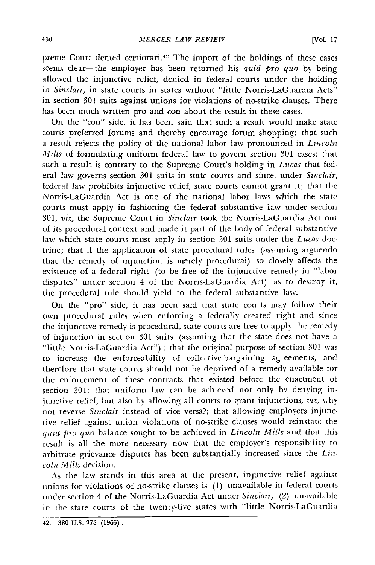preme Court denied certiorari.<sup>42</sup> The import of the holdings of these cases seems clear-the employer has been returned his *quid pro quo* by being allowed the injunctive relief, denied in federal courts under the holding in *Sinclair,* in state courts in states without "little Norris-LaGuardia Acts" in section 301 suits against unions for violations of no-strike clauses. There has been much written pro and con about the result in these cases.

On the "con" side, it has been said that such a result would make state courts preferred forums and thereby encourage forum shopping; that such a result rejects the policy of the national labor law pronounced in *Lincoln Mills* of formulating uniform federal law to govern section 301 cases; that such a result is contrary to the Supreme Court's holding in *Lucas* that federal law governs section 301 suits in state courts and since, under *Sinclair,* federal law prohibits injunctive relief, state courts cannot grant it; that the Norris-LaGuardia Act is one of the national labor laws which the state courts must apply in fashioning the federal substantive law under section 301, *viz,* the Supreme Court in *Sinclair* took the Norris-LaGuardia Act out of its procedural context and made it part of the body of federal substantive law which state courts must apply in section 301 suits under the *Lucas* doctrine; that if the application of state procedural rules (assuming arguendo that the remedy of injunction is merely procedural) so closely affects the existence of a federal right (to be free of the injunctive remedy in "labor disputes" under section 4 of the Norris-LaGuardia Act) as to destroy it, the procedural rule should yield to the federal substantive law.

On the "pro" side, it has been said that state courts may follow their own procedural rules when enforcing a federally created right and since the injunctive remedy is procedural, state courts are free to apply the remedy of injunction in section 301 suits (assuming that the state does not have a "little Norris-LaGuardia Act") ; that the original purpose of section 301 was to increase the enforceability of collective-bargaining agreements, and therefore that state courts should not be deprived of a remedy available for the enforcement of these contracts that existed before the enactment of section 301; that uniform law can be achieved not only by denying injunctive relief, but also by allowing all courts to grant injunctions, *viz,* why not reverse *Sinclair* instead of vice versa?; that allowing employers injunctive relief against union violations of no-strike clauses would reinstate the *quid pro quo* balance sought to be achieved in *Lincoln Mills* and that this result is all the more necessary now that the employer's responsibility to arbitrate grievance disputes has been substantially increased since the *Lincoln Mills* decision.

As the law stands in this area at the present, injunctive relief against unions for violations of no-strike clauses is  $(1)$  unavailable in federal courts under section 4 of the Norris-LaGuardia Act under *Sinclair;* (2) unavailable in the state courts of the twenty-five states with "little Norris-LaGuardia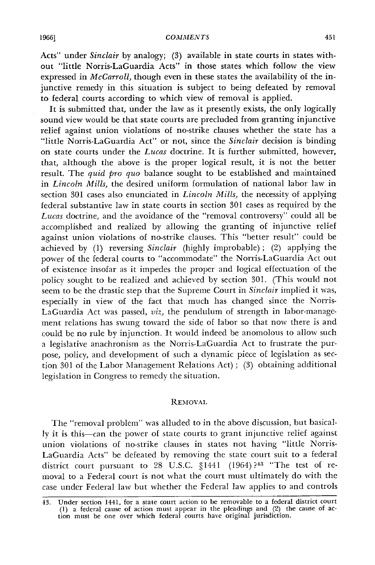Acts" under *Sinclair* by analogy; (3) available in state courts in states without "little Norris-LaGuardia Acts" in those states which follow the view expressed in *McCarroll*, though even in these states the availability of the injunctive remedy in this situation is subject to being defeated by removal to federal courts according to which view of removal is applied.

It is submitted that, under the law as it presently exists, the only logically sound view would be that state courts are precluded from granting injunctive relief against union violations of no-strike clauses whether the state has a "little Norris-LaGuardia Act" or not, since the *Sinclair* decision is binding on state courts under the *Lucas* doctrine. It is further submitted, however, that, although the above is the proper logical result, it is not the better result. The *quid pro quo* balance sought to be established and maintained in *Lincoln Mills,* the desired uniform formulation of national labor law in section 301 cases also enunciated in *Lincoln Mills,* the necessity of applying federal substantive law in state courts in section 301 cases as required by the *Lucas* doctrine, and the avoidance of the "removal controversy" could all be accomplished and realized by allowing the granting of injunctive relief against union violations of no-strike clauses. This "better result" could be achieved by (1) reversing *Sinclair* (highly improbable); (2) applying the power of the federal courts to "accommodate" the Norris-LaGuardia Act out of existence insofar as it impedes the proper and logical effectuation of the policy sought to be realized and achieved by section 301. (This would not seem to be the drastic step that the Supreme Court in *Sinclair* implied it was, especially in view of the fact that much has changed since the Norris-LaGuardia Act was passed, *viz,* the pendulum of strength in labor-management relations has swung toward the side of labor so that now there is and could be no rule by injunction. It would indeed be anomolous to allow such a legislative anachronism as the Norris-LaGuardia Act to frustrate the purpose, policy, and development of such a dynamic piece of legislation as section 301 of the Labor Management Relations Act) ; (3) obtaining additional legislation in Congress to remedy the situation.

#### **REMOVAL**

The "removal problem" was alluded to in the above discussion, but basically it is this-can the power of state courts to grant injunctive relief against union violations of no-strike clauses in states not having "little Norris-LaGuardia Acts" be defeated by removing the state court suit to a federal district court pursuant to 28 U.S.C. §1441 (1964)?<sup>43</sup> "The test of removal to a Federal court is not what the court must ultimately do with the case under Federal law but whether the Federal law applies to and controls

<sup>43.</sup> Under section 1441, for a state court action to be removable to a federal district court (1) a federal cause of action must appear in the pleadings and (2) the cause of action must be one over which federal courts have original jurisdiction.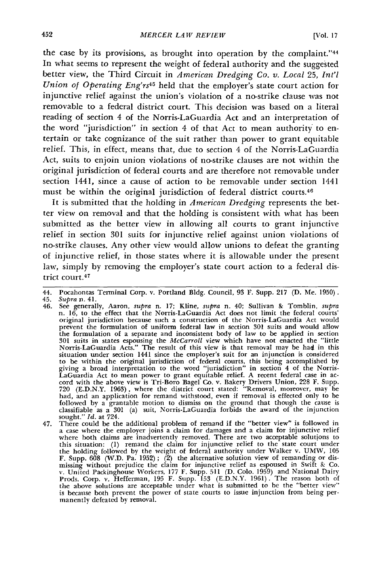the case by its provisions, as brought into operation **by** the complaint."<sup>44</sup> In what seems to represent the weight of federal authority and the suggested better view, the Third Circuit in *American Dredging Co. v. Local 25, Int'l Union of Operating Eng'rs45* held that the employer's state court action for injunctive relief against the union's violation of a no-strike clause was not removable to a federal district court. This decision was based on a literal reading of section 4 of the Norris-LaGuardia Act and an interpretation of the word "jurisdiction" in section 4 of that Act to mean authority to entertain or take cognizance of the suit rather than power to grant equitable relief. This, in effect, means that, due to section 4 of the Norris-LaGuardia Act, suits to enjoin union violations of no-strike clauses are not within the original jurisdiction of federal courts and are therefore not removable under section 1441, since a cause of action to be removable under section 1441 must be within the original jurisdiction of federal district courts.<sup>46</sup>

It is submitted that the holding in *American Dredging* represents the better view on removal and that the holding is consistent with what has been submitted as the better view in allowing all courts to grant injunctive relief in section 301 suits for injunctive relief against union violations of no-strike clauses. Any other view would allow unions to defeat the granting of injunctive relief, in those states where it is allowable under the present law, simply by removing the employer's state court action to a federal district court.<sup>47</sup>

<sup>44.</sup> Pocahontas Terminal Corp. v. Portland Bldg. Council, 93 F. Supp. 217 (D. Me. 1950).

<sup>45.</sup> *Supra* n. 41.<br>46. See generally, Aaron, *supra* n. 17; Kline, *supra* n. 40; Sullivan & Tomblin, *supra* 46. See generally, Aaron, *supra* n. 17; Kline, *supra* n. 40; Sullivan & Tomblin, *supra* n. 16, to the effect that the Norris-LaGuardia Act does not limit the federal courts' original jurisdiction because such a construc 301 suits in states espousing the *McCarroll* view which have not enacted the "little Norris-LaGuardia Acts." The result of this view is that removal may be **had** in this situation under section 1441 since the employer's suit for an injunction is considered<br>to be within the original jurisdiction of federal courts, this being accomplished by<br>giving a broad interpretation to the word "jurisdi LaGuardia Act to mean power to grant equitable relief. A recent federal case in ac- cord with the above view is Tri-Boro Bagel Co. v. Bakery Drivers Union, 228 F. Supp. 720 (E.D.N.Y. 1963), where the district court stated: "Removal, moreover, may be had, and an application for remand withstood, even if removal is effected only to be followed by a grantable motion to dismiss on the ground that though the cause is classifiable as a 301 (a) suit, Norris-LaGuardia forbids the award of the injunction sought." *Id.* at 724.

<sup>47.</sup> There could be the additional problem of remand if the "better view" is followed in a case where the employer joins a claim **for** damages and a claim for injunctive relief where both claims are inadvertently removed. There are two acceptable solutions to this situation: (1) remand the claim for injunctive relief to the state court under the holding followed by the weight of federal authority under Walker v. UMW, 105 F. Supp. 608 (W.D. Pa. 1952); (2) the alternative solution view of remanding or dismissing without prejudice the claim for injunctive relief Prods. Corp. v. Hefferman, 195 F. Supp. 153 (E.D.N.Y. 1961). The reason both of<br>the above solutions are acceptable under what is submitted to be the "better view"<br>is because both prevent the power of state courts to issue manently defeated by removal.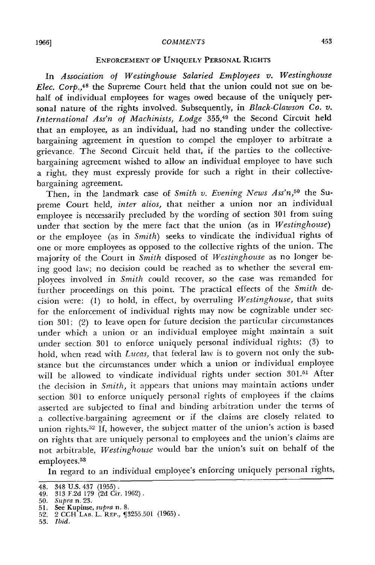#### **1966]** *COMMENTS*

### **ENFORCEMENT OF UNIQUELY PERSONAL** RIGHTS

In *Association of Westinghouse Salaried Employees v. Westinghouse Elec. Corp.,48* the Supreme Court held that the union could not sue on behalf of individual employees **for wages** owed because of the uniquely personal nature of the rights involved. Subsequently, in *Black-Clawson Co. v. International Ass'n of Machinists, Lodge* 355,49 the Second Circuit held that an employee, as an individual, had no standing under the collectivebargaining agreement in question to compel the employer to arbitrate a grievance. The Second Circuit held that, if the parties to the collectivebargaining agreement wished to allow an individual employee to have such a right, they must expressly provide for such a right in their collectivebargaining agreement.

Then, in the landmark case of *Smith v. Evening News Ass'n*,<sup>50</sup> the Supreme Court held, *inter alios,* that neither a union nor an individual employee is necessarily precluded by the wording of section 301 from suing under that section by the mere fact that the union (as in *Westinghouse)* or the employee (as in *Smith)* seeks to vindicate the individual rights of one or more employees as opposed to the collective rights of the union. The majority of the Court in *Smith* disposed of *Westinghouse* as no longer being good law; no decision could be reached as to whether the several employees involved in *Smith* could recover, so the case was remanded for fuirther proceedings on this point. The practical effects of the *Smith* decision were: (1) to hold, in effect, by overruling *Westinghouse,* that suits for the enforcement of individual rights may now be cognizable under section 301; (2) to leave open for future decision the particular circumstances under which a union or an individual employee might maintain a suit under section 301 to enforce uniquely personal individual rights; (3) to hold, when read with *Lucas,* that federal law is to govern not only the substance but the circumstances under which a union or individual employee will be allowed to vindicate individual rights under section 301.31 After the decision in *Smith,* it appears that unions may maintain actions under section **301** to enforce uniquely personal rights of employees if the claims asserted are subjected to final and binding arbitration under the terms of a collective-bargaining agreement or if the claims are closely related to union rights.<sup>52</sup> If, however, the subject matter of the union's action is based on rights that are uniquely personal to employees and the union's claims are not arbitrable, *Westinghouse* would bar the union's suit on behalf of the employees.<sup>53</sup>

In regard to an individual employee's enforcing uniquely personal rights,

<sup>48. 348</sup> U.S. 437 (1955). 49. **313 F.2d** 179 (2d Cir. 1962) **.**

*<sup>50.</sup> Supra* n. **23.** 51. See Kupinse, *supra* n. *8.* 52. 2 CCH LAB. L. REP., 3255.501 (1965).

<sup>53.</sup> *Ibid.*